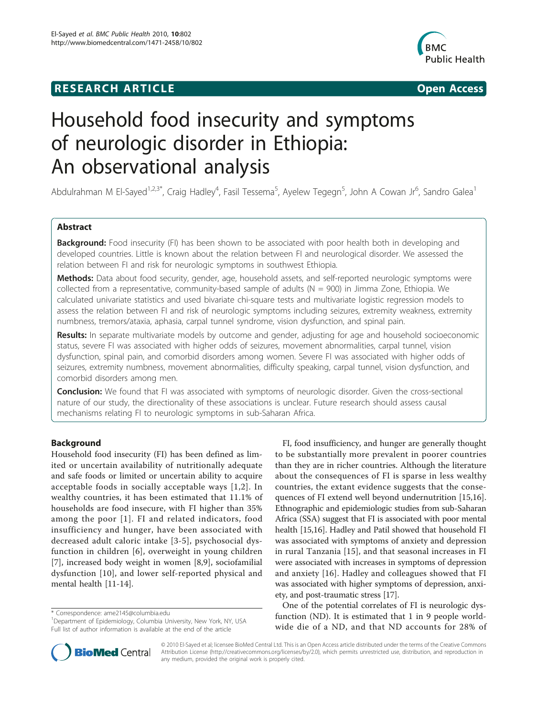## **RESEARCH ARTICLE Example 2014 CONSUMING ACCESS**



# Household food insecurity and symptoms of neurologic disorder in Ethiopia: An observational analysis

Abdulrahman M El-Sayed<sup>1,2,3\*</sup>, Craig Hadley<sup>4</sup>, Fasil Tessema<sup>5</sup>, Ayelew Tegegn<sup>5</sup>, John A Cowan Jr<sup>6</sup>, Sandro Galea<sup>1</sup>

## Abstract

**Background:** Food insecurity (FI) has been shown to be associated with poor health both in developing and developed countries. Little is known about the relation between FI and neurological disorder. We assessed the relation between FI and risk for neurologic symptoms in southwest Ethiopia.

Methods: Data about food security, gender, age, household assets, and self-reported neurologic symptoms were collected from a representative, community-based sample of adults ( $N = 900$ ) in Jimma Zone, Ethiopia. We calculated univariate statistics and used bivariate chi-square tests and multivariate logistic regression models to assess the relation between FI and risk of neurologic symptoms including seizures, extremity weakness, extremity numbness, tremors/ataxia, aphasia, carpal tunnel syndrome, vision dysfunction, and spinal pain.

Results: In separate multivariate models by outcome and gender, adjusting for age and household socioeconomic status, severe FI was associated with higher odds of seizures, movement abnormalities, carpal tunnel, vision dysfunction, spinal pain, and comorbid disorders among women. Severe FI was associated with higher odds of seizures, extremity numbness, movement abnormalities, difficulty speaking, carpal tunnel, vision dysfunction, and comorbid disorders among men.

**Conclusion:** We found that FI was associated with symptoms of neurologic disorder. Given the cross-sectional nature of our study, the directionality of these associations is unclear. Future research should assess causal mechanisms relating FI to neurologic symptoms in sub-Saharan Africa.

## Background

Household food insecurity (FI) has been defined as limited or uncertain availability of nutritionally adequate and safe foods or limited or uncertain ability to acquire acceptable foods in socially acceptable ways [[1](#page-8-0),[2\]](#page-8-0). In wealthy countries, it has been estimated that 11.1% of households are food insecure, with FI higher than 35% among the poor [[1](#page-8-0)]. FI and related indicators, food insufficiency and hunger, have been associated with decreased adult caloric intake [\[3-5\]](#page-8-0), psychosocial dysfunction in children [[6](#page-8-0)], overweight in young children [[7\]](#page-8-0), increased body weight in women [[8,9](#page-8-0)], sociofamilial dysfunction [\[10\]](#page-8-0), and lower self-reported physical and mental health [\[11](#page-8-0)-[14](#page-8-0)].

\* Correspondence: [ame2145@columbia.edu](mailto:ame2145@columbia.edu)

<sup>&</sup>lt;sup>1</sup>Department of Epidemiology, Columbia University, New York, NY, USA Full list of author information is available at the end of the article



One of the potential correlates of FI is neurologic dysfunction (ND). It is estimated that 1 in 9 people worldwide die of a ND, and that ND accounts for 28% of



© 2010 El-Sayed et al; licensee BioMed Central Ltd. This is an Open Access article distributed under the terms of the Creative Commons Attribution License [\(http://creativecommons.org/licenses/by/2.0](http://creativecommons.org/licenses/by/2.0)), which permits unrestricted use, distribution, and reproduction in any medium, provided the original work is properly cited.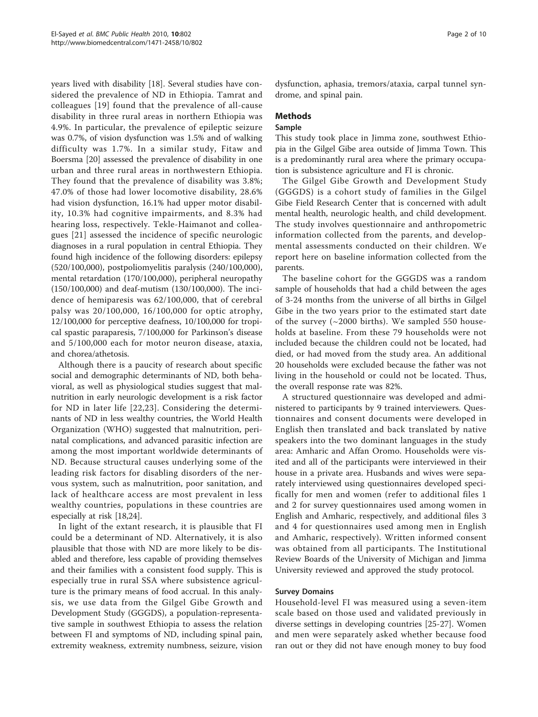years lived with disability [[18](#page-9-0)]. Several studies have considered the prevalence of ND in Ethiopia. Tamrat and colleagues [[19](#page-9-0)] found that the prevalence of all-cause disability in three rural areas in northern Ethiopia was 4.9%. In particular, the prevalence of epileptic seizure was 0.7%, of vision dysfunction was 1.5% and of walking difficulty was 1.7%. In a similar study, Fitaw and Boersma [\[20](#page-9-0)] assessed the prevalence of disability in one urban and three rural areas in northwestern Ethiopia. They found that the prevalence of disability was 3.8%; 47.0% of those had lower locomotive disability, 28.6% had vision dysfunction, 16.1% had upper motor disability, 10.3% had cognitive impairments, and 8.3% had hearing loss, respectively. Tekle-Haimanot and colleagues [\[21\]](#page-9-0) assessed the incidence of specific neurologic diagnoses in a rural population in central Ethiopia. They found high incidence of the following disorders: epilepsy (520/100,000), postpoliomyelitis paralysis (240/100,000), mental retardation (170/100,000), peripheral neuropathy (150/100,000) and deaf-mutism (130/100,000). The incidence of hemiparesis was 62/100,000, that of cerebral palsy was 20/100,000, 16/100,000 for optic atrophy, 12/100,000 for perceptive deafness, 10/100,000 for tropical spastic paraparesis, 7/100,000 for Parkinson's disease and 5/100,000 each for motor neuron disease, ataxia, and chorea/athetosis.

Although there is a paucity of research about specific social and demographic determinants of ND, both behavioral, as well as physiological studies suggest that malnutrition in early neurologic development is a risk factor for ND in later life [\[22,23\]](#page-9-0). Considering the determinants of ND in less wealthy countries, the World Health Organization (WHO) suggested that malnutrition, perinatal complications, and advanced parasitic infection are among the most important worldwide determinants of ND. Because structural causes underlying some of the leading risk factors for disabling disorders of the nervous system, such as malnutrition, poor sanitation, and lack of healthcare access are most prevalent in less wealthy countries, populations in these countries are especially at risk [\[18,24](#page-9-0)].

In light of the extant research, it is plausible that FI could be a determinant of ND. Alternatively, it is also plausible that those with ND are more likely to be disabled and therefore, less capable of providing themselves and their families with a consistent food supply. This is especially true in rural SSA where subsistence agriculture is the primary means of food accrual. In this analysis, we use data from the Gilgel Gibe Growth and Development Study (GGGDS), a population-representative sample in southwest Ethiopia to assess the relation between FI and symptoms of ND, including spinal pain, extremity weakness, extremity numbness, seizure, vision dysfunction, aphasia, tremors/ataxia, carpal tunnel syndrome, and spinal pain.

## Methods

## Sample

This study took place in Jimma zone, southwest Ethiopia in the Gilgel Gibe area outside of Jimma Town. This is a predominantly rural area where the primary occupation is subsistence agriculture and FI is chronic.

The Gilgel Gibe Growth and Development Study (GGGDS) is a cohort study of families in the Gilgel Gibe Field Research Center that is concerned with adult mental health, neurologic health, and child development. The study involves questionnaire and anthropometric information collected from the parents, and developmental assessments conducted on their children. We report here on baseline information collected from the parents.

The baseline cohort for the GGGDS was a random sample of households that had a child between the ages of 3-24 months from the universe of all births in Gilgel Gibe in the two years prior to the estimated start date of the survey  $(\sim 2000 \text{ births})$ . We sampled 550 households at baseline. From these 79 households were not included because the children could not be located, had died, or had moved from the study area. An additional 20 households were excluded because the father was not living in the household or could not be located. Thus, the overall response rate was 82%.

A structured questionnaire was developed and administered to participants by 9 trained interviewers. Questionnaires and consent documents were developed in English then translated and back translated by native speakers into the two dominant languages in the study area: Amharic and Affan Oromo. Households were visited and all of the participants were interviewed in their house in a private area. Husbands and wives were separately interviewed using questionnaires developed specifically for men and women (refer to additional files [1](#page-8-0) and [2](#page-8-0) for survey questionnaires used among women in English and Amharic, respectively, and additional files [3](#page-8-0) and [4](#page-8-0) for questionnaires used among men in English and Amharic, respectively). Written informed consent was obtained from all participants. The Institutional Review Boards of the University of Michigan and Jimma University reviewed and approved the study protocol.

#### Survey Domains

Household-level FI was measured using a seven-item scale based on those used and validated previously in diverse settings in developing countries [[25-27\]](#page-9-0). Women and men were separately asked whether because food ran out or they did not have enough money to buy food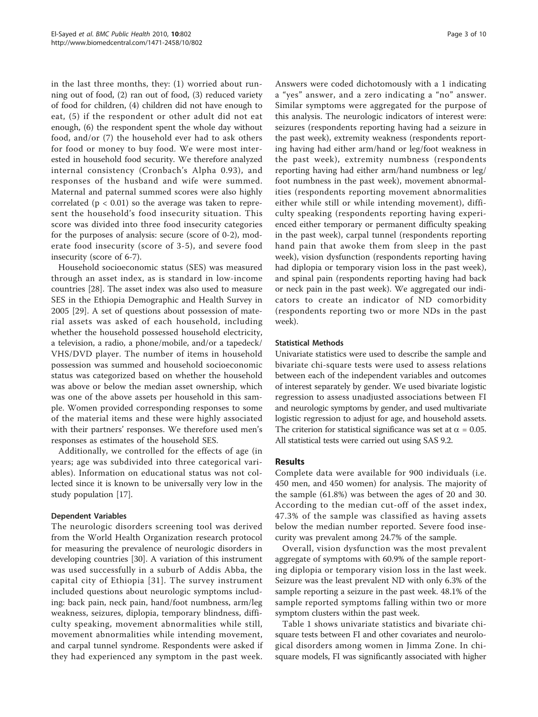in the last three months, they: (1) worried about running out of food, (2) ran out of food, (3) reduced variety of food for children, (4) children did not have enough to eat, (5) if the respondent or other adult did not eat enough, (6) the respondent spent the whole day without food, and/or (7) the household ever had to ask others for food or money to buy food. We were most interested in household food security. We therefore analyzed internal consistency (Cronbach's Alpha 0.93), and responses of the husband and wife were summed. Maternal and paternal summed scores were also highly correlated ( $p < 0.01$ ) so the average was taken to represent the household's food insecurity situation. This score was divided into three food insecurity categories for the purposes of analysis: secure (score of 0-2), moderate food insecurity (score of 3-5), and severe food insecurity (score of 6-7).

Household socioeconomic status (SES) was measured through an asset index, as is standard in low-income countries [[28](#page-9-0)]. The asset index was also used to measure SES in the Ethiopia Demographic and Health Survey in 2005 [\[29](#page-9-0)]. A set of questions about possession of material assets was asked of each household, including whether the household possessed household electricity, a television, a radio, a phone/mobile, and/or a tapedeck/ VHS/DVD player. The number of items in household possession was summed and household socioeconomic status was categorized based on whether the household was above or below the median asset ownership, which was one of the above assets per household in this sample. Women provided corresponding responses to some of the material items and these were highly associated with their partners' responses. We therefore used men's responses as estimates of the household SES.

Additionally, we controlled for the effects of age (in years; age was subdivided into three categorical variables). Information on educational status was not collected since it is known to be universally very low in the study population [[17\]](#page-9-0).

## Dependent Variables

The neurologic disorders screening tool was derived from the World Health Organization research protocol for measuring the prevalence of neurologic disorders in developing countries [\[30](#page-9-0)]. A variation of this instrument was used successfully in a suburb of Addis Abba, the capital city of Ethiopia [[31](#page-9-0)]. The survey instrument included questions about neurologic symptoms including: back pain, neck pain, hand/foot numbness, arm/leg weakness, seizures, diplopia, temporary blindness, difficulty speaking, movement abnormalities while still, movement abnormalities while intending movement, and carpal tunnel syndrome. Respondents were asked if they had experienced any symptom in the past week. Answers were coded dichotomously with a 1 indicating a "yes" answer, and a zero indicating a "no" answer. Similar symptoms were aggregated for the purpose of this analysis. The neurologic indicators of interest were: seizures (respondents reporting having had a seizure in the past week), extremity weakness (respondents reporting having had either arm/hand or leg/foot weakness in the past week), extremity numbness (respondents reporting having had either arm/hand numbness or leg/ foot numbness in the past week), movement abnormalities (respondents reporting movement abnormalities either while still or while intending movement), difficulty speaking (respondents reporting having experienced either temporary or permanent difficulty speaking in the past week), carpal tunnel (respondents reporting hand pain that awoke them from sleep in the past week), vision dysfunction (respondents reporting having had diplopia or temporary vision loss in the past week), and spinal pain (respondents reporting having had back or neck pain in the past week). We aggregated our indicators to create an indicator of ND comorbidity (respondents reporting two or more NDs in the past week).

#### Statistical Methods

Univariate statistics were used to describe the sample and bivariate chi-square tests were used to assess relations between each of the independent variables and outcomes of interest separately by gender. We used bivariate logistic regression to assess unadjusted associations between FI and neurologic symptoms by gender, and used multivariate logistic regression to adjust for age, and household assets. The criterion for statistical significance was set at  $\alpha = 0.05$ . All statistical tests were carried out using SAS 9.2.

#### Results

Complete data were available for 900 individuals (i.e. 450 men, and 450 women) for analysis. The majority of the sample (61.8%) was between the ages of 20 and 30. According to the median cut-off of the asset index, 47.3% of the sample was classified as having assets below the median number reported. Severe food insecurity was prevalent among 24.7% of the sample.

Overall, vision dysfunction was the most prevalent aggregate of symptoms with 60.9% of the sample reporting diplopia or temporary vision loss in the last week. Seizure was the least prevalent ND with only 6.3% of the sample reporting a seizure in the past week. 48.1% of the sample reported symptoms falling within two or more symptom clusters within the past week.

Table [1](#page-3-0) shows univariate statistics and bivariate chisquare tests between FI and other covariates and neurological disorders among women in Jimma Zone. In chisquare models, FI was significantly associated with higher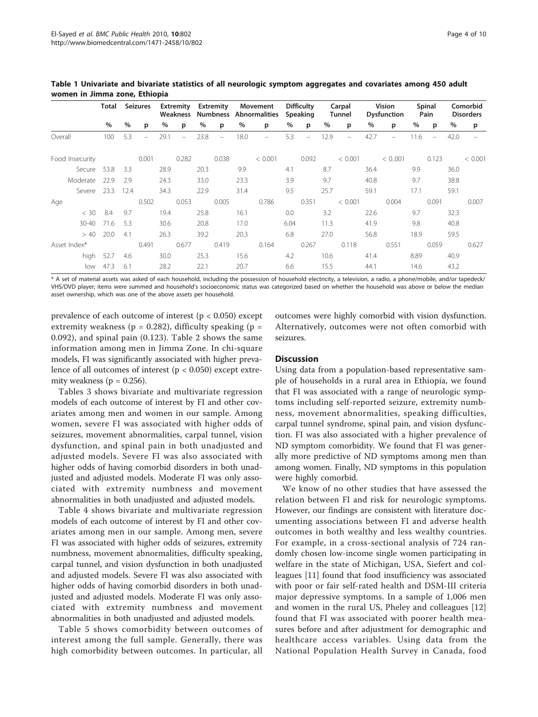|                 | Total |        | Seizures |      | Extremity | Extremity |          |      | Movement<br>Weakness Numbness Abnormalities |      | Difficulty<br>Speaking |      | Carpal<br>Tunnel | Vision<br><b>Dysfunction</b> |         | Spinal<br>Pain |       | Comorbid<br><b>Disorders</b> |         |
|-----------------|-------|--------|----------|------|-----------|-----------|----------|------|---------------------------------------------|------|------------------------|------|------------------|------------------------------|---------|----------------|-------|------------------------------|---------|
|                 | %     | $\%$   | p        | $\%$ | p         | %         | p        | %    | p                                           | %    | p                      | %    | p                | $\%$                         | p       | %              | p     | %                            | p       |
| Overall         | 100   | 5.3    | ÷        | 29.1 | $\equiv$  | 23.8      | $\equiv$ | 18.0 | $\overline{\phantom{0}}$                    | 5.3  |                        | 12.9 |                  | 42.7                         |         | 11.6           |       | 42.0                         |         |
| Food Insecurity |       |        | 0.001    |      | 0.282     |           | 0.038    |      | < 0.001                                     |      | 0.092                  |      | < 0.001          |                              | < 0.001 |                | 0.123 |                              | < 0.001 |
| Secure          | 53.8  | 3.3    |          | 28.9 |           | 20.3      |          | 9.9  |                                             | 4.1  |                        | 8.7  |                  | 36.4                         |         | 9.9            |       | 36.0                         |         |
| Moderate        | 22.9  | 2.9    |          | 24.3 |           | 33.0      |          | 23.3 |                                             | 3.9  |                        | 9.7  |                  | 40.8                         |         | 9.7            |       | 38.8                         |         |
| Severe          | 23.3  | - 12.4 |          | 34.3 |           | 22.9      |          | 31.4 |                                             | 9.5  |                        | 25.7 |                  | 59.1                         |         | 17.1           |       | 59.1                         |         |
| Age             |       |        | 0.502    |      | 0.053     |           | 0.005    |      | 0.786                                       |      | 0.351                  |      | < 0.001          |                              | 0.004   |                | 0.091 |                              | 0.007   |
| < 30            | 8.4   | 9.7    |          | 19.4 |           | 25.8      |          | 16.1 |                                             | 0.0  |                        | 3.2  |                  | 22.6                         |         | 9.7            |       | 32.3                         |         |
| $30 - 40$       | 71.6  | 5.3    |          | 30.6 |           | 20.8      |          | 17.0 |                                             | 6.04 |                        | 11.3 |                  | 41.9                         |         | 9.8            |       | 40.8                         |         |
| > 40            | 20.0  | 4.1    |          | 26.3 |           | 39.2      |          | 20.3 |                                             | 6.8  |                        | 27.0 |                  | 56.8                         |         | 18.9           |       | 59.5                         |         |
| Asset Index*    |       |        | 0.491    |      | 0.677     |           | 0.419    |      | 0.164                                       |      | 0.267                  |      | 0.118            |                              | 0.551   |                | 0.059 |                              | 0.627   |
| high            | 52.7  | 4.6    |          | 30.0 |           | 25.3      |          | 15.6 |                                             | 4.2  |                        | 10.6 |                  | 41.4                         |         | 8.89           |       | 40.9                         |         |
| low             | 47.3  | 6.1    |          | 28.2 |           | 22.1      |          | 20.7 |                                             | 6.6  |                        | 15.5 |                  | 44.1                         |         | 14.6           |       | 43.2                         |         |

<span id="page-3-0"></span>Table 1 Univariate and bivariate statistics of all neurologic symptom aggregates and covariates among 450 adult women in Jimma zone, Ethiopia

\* A set of material assets was asked of each household, including the possession of household electricity, a television, a radio, a phone/mobile, and/or tapedeck/ VHS/DVD player; items were summed and household's socioeconomic status was categorized based on whether the household was above or below the median asset ownership, which was one of the above assets per household.

prevalence of each outcome of interest ( $p < 0.050$ ) except extremity weakness ( $p = 0.282$ ), difficulty speaking ( $p =$ 0.092), and spinal pain (0.123). Table [2](#page-4-0) shows the same information among men in Jimma Zone. In chi-square models, FI was significantly associated with higher prevalence of all outcomes of interest  $(p < 0.050)$  except extremity weakness ( $p = 0.256$ ).

Tables [3](#page-5-0) shows bivariate and multivariate regression models of each outcome of interest by FI and other covariates among men and women in our sample. Among women, severe FI was associated with higher odds of seizures, movement abnormalities, carpal tunnel, vision dysfunction, and spinal pain in both unadjusted and adjusted models. Severe FI was also associated with higher odds of having comorbid disorders in both unadjusted and adjusted models. Moderate FI was only associated with extremity numbness and movement abnormalities in both unadjusted and adjusted models.

Table [4](#page-6-0) shows bivariate and multivariate regression models of each outcome of interest by FI and other covariates among men in our sample. Among men, severe FI was associated with higher odds of seizures, extremity numbness, movement abnormalities, difficulty speaking, carpal tunnel, and vision dysfunction in both unadjusted and adjusted models. Severe FI was also associated with higher odds of having comorbid disorders in both unadjusted and adjusted models. Moderate FI was only associated with extremity numbness and movement abnormalities in both unadjusted and adjusted models.

Table [5](#page-7-0) shows comorbidity between outcomes of interest among the full sample. Generally, there was high comorbidity between outcomes. In particular, all

outcomes were highly comorbid with vision dysfunction. Alternatively, outcomes were not often comorbid with seizures.

#### **Discussion**

Using data from a population-based representative sample of households in a rural area in Ethiopia, we found that FI was associated with a range of neurologic symptoms including self-reported seizure, extremity numbness, movement abnormalities, speaking difficulties, carpal tunnel syndrome, spinal pain, and vision dysfunction. FI was also associated with a higher prevalence of ND symptom comorbidity. We found that FI was generally more predictive of ND symptoms among men than among women. Finally, ND symptoms in this population were highly comorbid.

We know of no other studies that have assessed the relation between FI and risk for neurologic symptoms. However, our findings are consistent with literature documenting associations between FI and adverse health outcomes in both wealthy and less wealthy countries. For example, in a cross-sectional analysis of 724 randomly chosen low-income single women participating in welfare in the state of Michigan, USA, Siefert and colleagues [[11](#page-8-0)] found that food insufficiency was associated with poor or fair self-rated health and DSM-III criteria major depressive symptoms. In a sample of 1,006 men and women in the rural US, Pheley and colleagues [\[12](#page-8-0)] found that FI was associated with poorer health measures before and after adjustment for demographic and healthcare access variables. Using data from the National Population Health Survey in Canada, food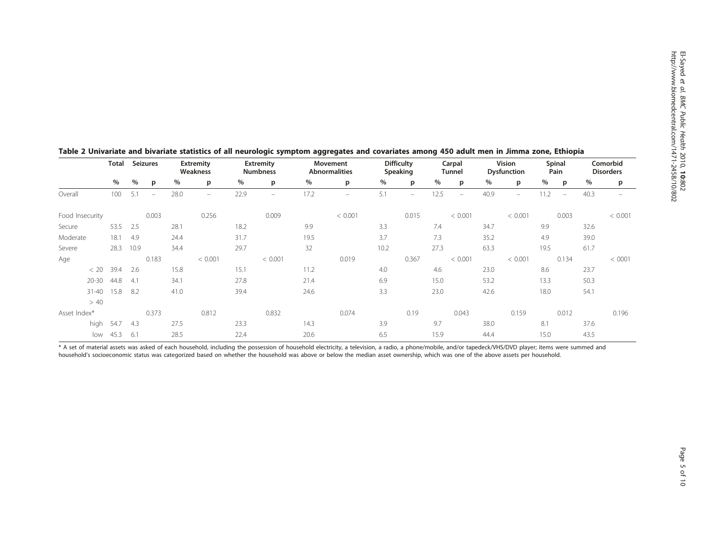|                 | Total | <b>Seizures</b> |          |      | <b>Extremity</b><br>Weakness |      | <b>Extremity</b><br><b>Numbness</b> |      | Movement<br>Abnormalities |      | <b>Difficulty</b><br>Speaking |      | Carpal<br><b>Tunnel</b> |      | Vision<br><b>Dysfunction</b> |      | Spinal<br>Pain           |      | Comorbid<br><b>Disorders</b> |
|-----------------|-------|-----------------|----------|------|------------------------------|------|-------------------------------------|------|---------------------------|------|-------------------------------|------|-------------------------|------|------------------------------|------|--------------------------|------|------------------------------|
|                 | %     | $\%$            | p        | %    | p                            | $\%$ | p                                   | %    | p                         | %    | p                             | %    | p                       | %    | p                            | %    | p                        | %    | p                            |
| Overall         | 100   | 5.1             | $\equiv$ | 28.0 | $\equiv$                     | 22.9 | $\overline{\phantom{m}}$            | 17.2 | $\equiv$                  | 5.1  | $=$                           | 12.5 | $\equiv$                | 40.9 | $\equiv$                     | 11.2 | $\overline{\phantom{m}}$ | 40.3 |                              |
| Food Insecurity |       |                 | 0.003    |      | 0.256                        |      | 0.009                               |      | < 0.001                   |      | 0.015                         |      | < 0.001                 |      | < 0.001                      |      | 0.003                    |      | < 0.001                      |
| Secure          | 53.5  | 2.5             |          | 28.1 |                              | 18.2 |                                     | 9.9  |                           | 3.3  |                               | 7.4  |                         | 34.7 |                              | 9.9  |                          | 32.6 |                              |
| Moderate        | 18.1  | 4.9             |          | 24.4 |                              | 31.7 |                                     | 19.5 |                           | 3.7  |                               | 7.3  |                         | 35.2 |                              | 4.9  |                          | 39.0 |                              |
| Severe          | 28.3  | 10.9            |          | 34.4 |                              | 29.7 |                                     | 32   |                           | 10.2 |                               | 27.3 |                         | 63.3 |                              | 19.5 |                          | 61.7 |                              |
| Age             |       |                 | 0.183    |      | < 0.001                      |      | < 0.001                             |      | 0.019                     |      | 0.367                         |      | < 0.001                 |      | < 0.001                      |      | 0.134                    |      | < 0001                       |
| < 20            | 39.4  | 2.6             |          | 15.8 |                              | 15.1 |                                     | 11.2 |                           | 4.0  |                               | 4.6  |                         | 23.0 |                              | 8.6  |                          | 23.7 |                              |
| $20 - 30$       | 44.8  | 4.1             |          | 34.1 |                              | 27.8 |                                     | 21.4 |                           | 6.9  |                               | 15.0 |                         | 53.2 |                              | 13.3 |                          | 50.3 |                              |
| $31 - 40$       | 15.8  | -8.2            |          | 41.0 |                              | 39.4 |                                     | 24.6 |                           | 3.3  |                               | 23.0 |                         | 42.6 |                              | 18.0 |                          | 54.1 |                              |
| > 40            |       |                 |          |      |                              |      |                                     |      |                           |      |                               |      |                         |      |                              |      |                          |      |                              |
| Asset Index*    |       |                 | 0.373    |      | 0.812                        |      | 0.832                               |      | 0.074                     |      | 0.19                          |      | 0.043                   |      | 0.159                        |      | 0.012                    |      | 0.196                        |
| high            | 54.7  | 4.3             |          | 27.5 |                              | 23.3 |                                     | 14.3 |                           | 3.9  |                               | 9.7  |                         | 38.0 |                              | 8.1  |                          | 37.6 |                              |
| low             | 45.3  | 6.1             |          | 28.5 |                              | 22.4 |                                     | 20.6 |                           | 6.5  |                               | 15.9 |                         | 44.4 |                              | 15.0 |                          | 43.5 |                              |

## <span id="page-4-0"></span>Table 2 Univariate and bivariate statistics of all neurologic symptom aggregates and covariates among 450 adult men in Jimma zone, Ethiopia

\* A set of material assets was asked of each household, including the possession of household electricity, a television, a radio, a phone/mobile, and/or tapedeck/VHS/DVD player; items were summed and household's socioeconomic status was categorized based on whether the household was above or below the median asset ownership, which was one of the above assets per household.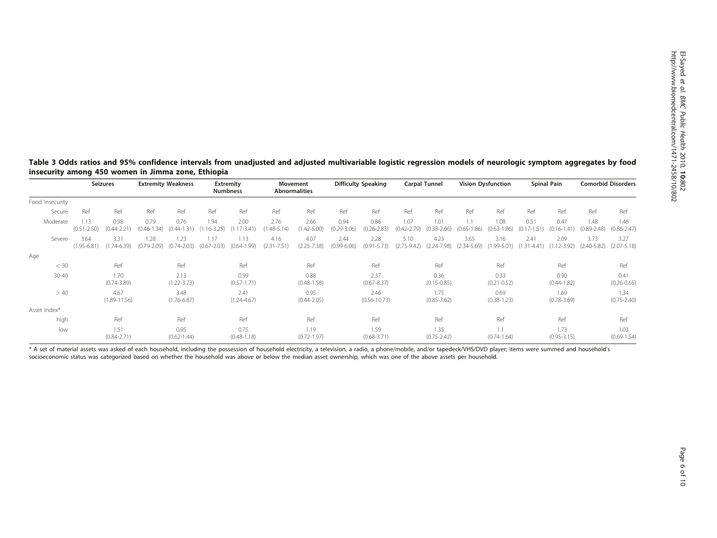#### <span id="page-5-0"></span>Table 3 Odds ratios and 95% confidence intervals from unadjusted and adjusted multivariable logistic regression models of neurologic symptom aggregates by food insecurity among 450 women in Jimma zone, Ethiopia

|                 | Seizures                |                          | <b>Extremity Weakness</b> |                         | <b>Extremity</b><br><b>Numbness</b> |                         | Movement<br><b>Abnormalities</b> |                         | <b>Difficulty Speaking</b> |                          | <b>Carpal Tunnel</b>    |                         | <b>Vision Dysfunction</b>    |                         | Spinal Pain                 |                             | <b>Comorbid Disorders</b> |                         |
|-----------------|-------------------------|--------------------------|---------------------------|-------------------------|-------------------------------------|-------------------------|----------------------------------|-------------------------|----------------------------|--------------------------|-------------------------|-------------------------|------------------------------|-------------------------|-----------------------------|-----------------------------|---------------------------|-------------------------|
| Food Insecurity |                         |                          |                           |                         |                                     |                         |                                  |                         |                            |                          |                         |                         |                              |                         |                             |                             |                           |                         |
| Secure          | Ref                     | Ref                      | Ref                       | Ref                     | Ref                                 | Ref                     | Ref                              | Ref                     | Ref                        | Ref                      | Ref                     | Ref                     | Ref                          | Ref                     | Ref                         | Ref                         | Ref                       | Ref                     |
| Moderate        | 1.13<br>$(0.51 - 2.50)$ | 0.98<br>$(0.44 - 2.21)$  | 0.79<br>$(0.46 - 1.34)$   | 0.76<br>$(0.44 - 1.31)$ | 1.94<br>$.16 - 3.25$                | 2.00<br>$.17 - 3.41$    | 2.76<br>$.48 - 5.14$             | 2.66<br>$(1.42 - 5.00)$ | 0.94<br>$(0.29 - 3.06)$    | 0.86<br>$(0.26 - 2.83)$  | 1.07<br>$(0.42 - 2.79)$ | 1.01<br>$(0.38 - 2.66)$ | 1.1<br>$(0.65 - 1)$<br>(.86) | 1.08<br>$(0.63 - 1.86)$ | 0.51<br>$(0.17 - 1)$<br>.51 | 0.47<br>$(0.16 - 1)$<br>.41 | 1.48<br>$(0.89 - 2.48)$   | 1.46<br>$(0.86 - 2.47)$ |
| Severe          | 3.64<br>$(1.95 - 6.81)$ | 3.31<br>$(1.74 - 6.39)$  | 1.28<br>$(0.79 - 2.09)$   | 1.23<br>$(0.74 - 2.03)$ | 1.17<br>$(0.67 - 2.03)$             | 1.13<br>$(0.64 - 1.99)$ | 4.16<br>(2.31)<br>$1 - 7.51$     | 4.07<br>$(2.25 - 7.38)$ | 2.44<br>$(0.99 - 6.06)$    | 2.28<br>$(0.91 - 5.73)$  | 5.10<br>$(2.75 - 9.42)$ | 4.23<br>$(2.24 - 7.98)$ | 3.65<br>$(2.34 - 5.69)$      | 3.16<br>$(1.99 - 5.01)$ | 2.41<br>$(1.31 - 4.41)$     | 2.09<br>$12 - 3.92$         | 3.73<br>$(2.40 - 5.82)$   | 3.27<br>$(2.07 - 5.18)$ |
| Age             |                         |                          |                           |                         |                                     |                         |                                  |                         |                            |                          |                         |                         |                              |                         |                             |                             |                           |                         |
| < 30            |                         | Ref                      |                           | Ref                     |                                     | Ref                     |                                  | Ref                     |                            | Ref                      |                         | Ref                     |                              | Ref                     |                             | Ref                         |                           | Ref                     |
| $30 - 40$       |                         | 1.70<br>$(0.74 - 3.89)$  |                           | 2.13<br>$(1.22 - 3.73)$ |                                     | 0.99<br>$(0.57 - 1.71)$ |                                  | 0.88<br>$(0.48 - 1.58)$ |                            | 2.37<br>$(0.67 - 8.37)$  |                         | 0.36<br>$(0.15 - 0.85)$ |                              | 0.33<br>$(0.21 - 0.52)$ |                             | 0.90<br>$(0.44 - 1.82)$     |                           | 0.41<br>$(0.26 - 0.65)$ |
| > 40            |                         | 4.67<br>$(1.89 - 11.56)$ |                           | 3.48<br>$(1.76 - 6.87)$ |                                     | 2.41<br>$(1.24 - 4.67)$ |                                  | 0.95<br>$(0.44 - 2.05)$ |                            | 2.46<br>$(0.56 - 10.73)$ |                         | 1.75<br>$(0.85 - 3.62)$ |                              | 0.69<br>$(0.38 - 1.23)$ |                             | 1.69<br>$(0.78 - 3.69)$     |                           | 1.34<br>$(0.75 - 2.40)$ |
| Asset Index*    |                         |                          |                           |                         |                                     |                         |                                  |                         |                            |                          |                         |                         |                              |                         |                             |                             |                           |                         |
| high            |                         | Ref                      |                           | Ref                     |                                     | Ref                     |                                  | Ref                     |                            | Ref                      |                         | Ref                     |                              | Ref                     |                             | Ref                         |                           | Ref                     |
| low             |                         | 1.51<br>$(0.84 - 2.71)$  |                           | 0.95<br>$(0.62 - 1.44)$ |                                     | 0.75<br>$(0.48 - 1.18)$ |                                  | 1.19<br>$(0.72 - 1.97)$ |                            | 1.59<br>$(0.68 - 3.71)$  |                         | 1.35<br>$(0.75 - 2.42)$ |                              | 1.1<br>$(0.74 - 1.64)$  |                             | 1.73<br>$(0.95 - 3.15)$     |                           | 1.03<br>$(0.69 - 1.54)$ |

\* A set of material assets was asked of each household, including the possession of household electricity, a television, a radio, a phone/mobile, and/or tapedeck/VHS/DVD player; items were summed and household's socioeconomic status was categorized based on whether the household was above or below the median asset ownership, which was one of the above assets per household.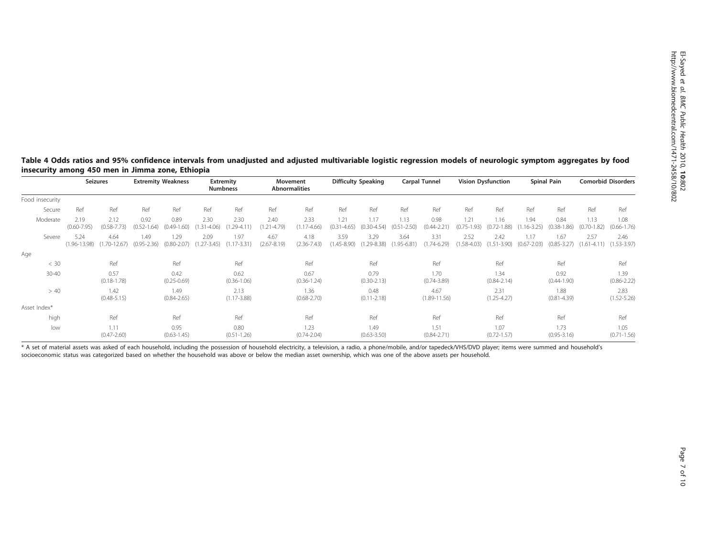## <span id="page-6-0"></span>Table 4 Odds ratios and 95% confidence intervals from unadjusted and adjusted multivariable logistic regression models of neurologic symptom aggregates by food insecurity among 450 men in Jimma zone, Ethiopia

|                 |                          | <b>Seizures</b>          | <b>Extremity Weakness</b> |                         | <b>Extremity</b><br><b>Numbness</b> |                         | Movement<br><b>Abnormalities</b> |                         | <b>Difficulty Speaking</b> |                         | Carpal Tunnel           |                          | <b>Vision Dysfunction</b> |                         | Spinal Pain             |                            | <b>Comorbid Disorders</b> |                         |
|-----------------|--------------------------|--------------------------|---------------------------|-------------------------|-------------------------------------|-------------------------|----------------------------------|-------------------------|----------------------------|-------------------------|-------------------------|--------------------------|---------------------------|-------------------------|-------------------------|----------------------------|---------------------------|-------------------------|
| Food insecurity |                          |                          |                           |                         |                                     |                         |                                  |                         |                            |                         |                         |                          |                           |                         |                         |                            |                           |                         |
| Secure          | Ref                      | Ref                      | Ref                       | Ref                     | Ref                                 | Ref                     | Ref                              | Ref                     | Ref                        | Ref                     | Ref                     | Ref                      | Ref                       | Ref                     | Ref                     | Ref                        | Ref                       | Ref                     |
| Moderate        | 2.19<br>$(0.60 - 7.95)$  | 2.12<br>$(0.58 - 7.73)$  | 0.92<br>$(0.52 - 1.64)$   | 0.89<br>$(0.49 - 1.60)$ | 2.30<br>$(1.31 - 4.06)$             | 2.30<br>1.29-4.11       | 2.40<br>$(1.21 - 4.79)$          | 2.33<br>$(1.17 - 4.66)$ | 1.21<br>$(0.31 - 4.65)$    | 1.17<br>$(0.30 - 4.54)$ | 1.13<br>$(0.51 - 2.50)$ | 0.98<br>$(0.44 - 2.21)$  | 1.21<br>$(0.75 - 1.93)$   | 1.16<br>$(0.72 - 1.88)$ | 1.94<br>$(1.16 - 3.25)$ | 0.84<br>$0.38 - 1$<br>.86) | 1.13<br>$(0.70 - 1.82)$   | 1.08<br>$(0.66 - 1.76)$ |
| Severe          | 5.24<br>$(1.96 - 13.98)$ | 4.64<br>$(1.70 - 12.67)$ | 1.49<br>$(0.95 - 2.36)$   | 1.29<br>$(0.80 - 2.07)$ | 2.09<br>$(1.27 - 3.45)$             | 1.97<br>$(1.17 - 3.31)$ | 4.67<br>$(2.67 - 8.19)$          | 4.18<br>$(2.36 - 7.43)$ | 3.59<br>$(1.45 - 8.90)$    | 3.29<br>$(1.29 - 8.38)$ | 3.64<br>$(1.95 - 6.81)$ | 3.31<br>$(1.74 - 6.29)$  | 2.52<br>$(1.58 - 4.03)$   | 2.42<br>$(1.51 - 3.90)$ | 1.17<br>$(0.67 - 2.03)$ | 1.67<br>$(0.85 - 3.27)$    | 2.57<br>$(1.61 - 4.11)$   | 2.46<br>$(1.53 - 3.97)$ |
| Age             |                          |                          |                           |                         |                                     |                         |                                  |                         |                            |                         |                         |                          |                           |                         |                         |                            |                           |                         |
| < 30            |                          | Ref                      |                           | Ref                     |                                     | Ref                     |                                  | Ref                     |                            | Ref                     |                         | Ref                      |                           | Ref                     |                         | Ref                        |                           | Ref                     |
| $30 - 40$       |                          | 0.57<br>$(0.18 - 1.78)$  |                           | 0.42<br>$(0.25 - 0.69)$ |                                     | 0.62<br>$(0.36 - 1.06)$ |                                  | 0.67<br>$(0.36 - 1.24)$ |                            | 0.79<br>$(0.30 - 2.13)$ |                         | 1.70<br>$(0.74 - 3.89)$  |                           | 1.34<br>$(0.84 - 2.14)$ |                         | 0.92<br>$(0.44 - 1.90)$    |                           | 1.39<br>$(0.86 - 2.22)$ |
| > 40            |                          | 1.42<br>$(0.48 - 5.15)$  |                           | 1.49<br>$(0.84 - 2.65)$ |                                     | 2.13<br>$(1.17 - 3.88)$ |                                  | 1.36<br>$(0.68 - 2.70)$ |                            | 0.48<br>$(0.11 - 2.18)$ |                         | 4.67<br>$(1.89 - 11.56)$ |                           | 2.31<br>$(1.25 - 4.27)$ |                         | 1.88<br>$(0.81 - 4.39)$    |                           | 2.83<br>$(1.52 - 5.26)$ |
| Asset Index*    |                          |                          |                           |                         |                                     |                         |                                  |                         |                            |                         |                         |                          |                           |                         |                         |                            |                           |                         |
| high            |                          | Ref                      |                           | Ref                     |                                     | Ref                     |                                  | Ref                     |                            | Ref                     |                         | Ref                      |                           | Ref                     |                         | Ref                        |                           | Ref                     |
| low             |                          | 1.11<br>$(0.47 - 2.60)$  |                           | 0.95<br>$(0.63 - 1.45)$ |                                     | 0.80<br>$(0.51 - 1.26)$ |                                  | 1.23<br>$(0.74 - 2.04)$ |                            | 1.49<br>$(0.63 - 3.50)$ |                         | 1.51<br>$(0.84 - 2.71)$  |                           | 1.07<br>$(0.72 - 1.57)$ |                         | 1.73<br>$(0.95 - 3.16)$    |                           | 1.05<br>$(0.71 - 1.56)$ |

\* A set of material assets was asked of each household, including the possession of household electricity, a television, a radio, a phone/mobile, and/or tapedeck/VHS/DVD player; items were summed and household's socioeconomic status was categorized based on whether the household was above or below the median asset ownership, which was one of the above assets per household.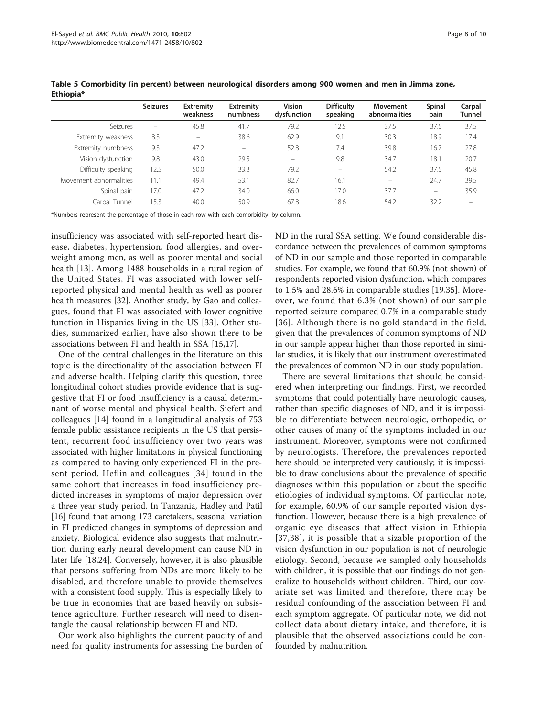|                        | <b>Seizures</b>          | Extremity<br>weakness    | <b>Extremity</b><br>numbness | <b>Vision</b><br>dysfunction | <b>Difficulty</b><br>speaking | Movement<br>abnormalities | Spinal<br>pain    | Carpal<br>Tunnel |
|------------------------|--------------------------|--------------------------|------------------------------|------------------------------|-------------------------------|---------------------------|-------------------|------------------|
| Seizures               | $\overline{\phantom{0}}$ | 45.8                     | 41.7                         | 79.2                         | 12.5                          | 37.5                      | 37.5              | 37.5             |
| Extremity weakness     | 8.3                      | $\overline{\phantom{m}}$ | 38.6                         | 62.9                         | 9.1                           | 30.3                      | 18.9              | 17.4             |
| Extremity numbness     | 9.3                      | 47.2                     | $\overline{\phantom{m}}$     | 52.8                         | 7.4                           | 39.8                      | 16.7              | 27.8             |
| Vision dysfunction     | 9.8                      | 43.0                     | 29.5                         | $\overline{\phantom{0}}$     | 9.8                           | 34.7                      | 18.1              | 20.7             |
| Difficulty speaking    | 12.5                     | 50.0                     | 33.3                         | 79.2                         |                               | 54.2                      | 37.5              | 45.8             |
| Movement abnormalities | 11.1                     | 49.4                     | 53.1                         | 82.7                         | 16.1                          | $\overline{\phantom{m}}$  | 24.7              | 39.5             |
| Spinal pain            | 17.0                     | 47.2                     | 34.0                         | 66.0                         | 17.0                          | 37.7                      | $\qquad \qquad -$ | 35.9             |
| Carpal Tunnel          | 15.3                     | 40.0                     | 50.9                         | 67.8                         | 18.6                          | 54.2                      | 32.2              |                  |

<span id="page-7-0"></span>Table 5 Comorbidity (in percent) between neurological disorders among 900 women and men in Jimma zone, Ethiopia\*

\*Numbers represent the percentage of those in each row with each comorbidity, by column.

insufficiency was associated with self-reported heart disease, diabetes, hypertension, food allergies, and overweight among men, as well as poorer mental and social health [\[13\]](#page-8-0). Among 1488 households in a rural region of the United States, FI was associated with lower selfreported physical and mental health as well as poorer health measures [\[32](#page-9-0)]. Another study, by Gao and colleagues, found that FI was associated with lower cognitive function in Hispanics living in the US [[33\]](#page-9-0). Other studies, summarized earlier, have also shown there to be associations between FI and health in SSA [\[15](#page-8-0)[,17](#page-9-0)].

One of the central challenges in the literature on this topic is the directionality of the association between FI and adverse health. Helping clarify this question, three longitudinal cohort studies provide evidence that is suggestive that FI or food insufficiency is a causal determinant of worse mental and physical health. Siefert and colleagues [[14](#page-8-0)] found in a longitudinal analysis of 753 female public assistance recipients in the US that persistent, recurrent food insufficiency over two years was associated with higher limitations in physical functioning as compared to having only experienced FI in the present period. Heflin and colleagues [[34\]](#page-9-0) found in the same cohort that increases in food insufficiency predicted increases in symptoms of major depression over a three year study period. In Tanzania, Hadley and Patil [[16\]](#page-9-0) found that among 173 caretakers, seasonal variation in FI predicted changes in symptoms of depression and anxiety. Biological evidence also suggests that malnutrition during early neural development can cause ND in later life [[18,24\]](#page-9-0). Conversely, however, it is also plausible that persons suffering from NDs are more likely to be disabled, and therefore unable to provide themselves with a consistent food supply. This is especially likely to be true in economies that are based heavily on subsistence agriculture. Further research will need to disentangle the causal relationship between FI and ND.

Our work also highlights the current paucity of and need for quality instruments for assessing the burden of ND in the rural SSA setting. We found considerable discordance between the prevalences of common symptoms of ND in our sample and those reported in comparable studies. For example, we found that 60.9% (not shown) of respondents reported vision dysfunction, which compares to 1.5% and 28.6% in comparable studies [\[19,35\]](#page-9-0). Moreover, we found that 6.3% (not shown) of our sample reported seizure compared 0.7% in a comparable study [[36\]](#page-9-0). Although there is no gold standard in the field, given that the prevalences of common symptoms of ND in our sample appear higher than those reported in similar studies, it is likely that our instrument overestimated the prevalences of common ND in our study population.

There are several limitations that should be considered when interpreting our findings. First, we recorded symptoms that could potentially have neurologic causes, rather than specific diagnoses of ND, and it is impossible to differentiate between neurologic, orthopedic, or other causes of many of the symptoms included in our instrument. Moreover, symptoms were not confirmed by neurologists. Therefore, the prevalences reported here should be interpreted very cautiously; it is impossible to draw conclusions about the prevalence of specific diagnoses within this population or about the specific etiologies of individual symptoms. Of particular note, for example, 60.9% of our sample reported vision dysfunction. However, because there is a high prevalence of organic eye diseases that affect vision in Ethiopia [[37,38](#page-9-0)], it is possible that a sizable proportion of the vision dysfunction in our population is not of neurologic etiology. Second, because we sampled only households with children, it is possible that our findings do not generalize to households without children. Third, our covariate set was limited and therefore, there may be residual confounding of the association between FI and each symptom aggregate. Of particular note, we did not collect data about dietary intake, and therefore, it is plausible that the observed associations could be confounded by malnutrition.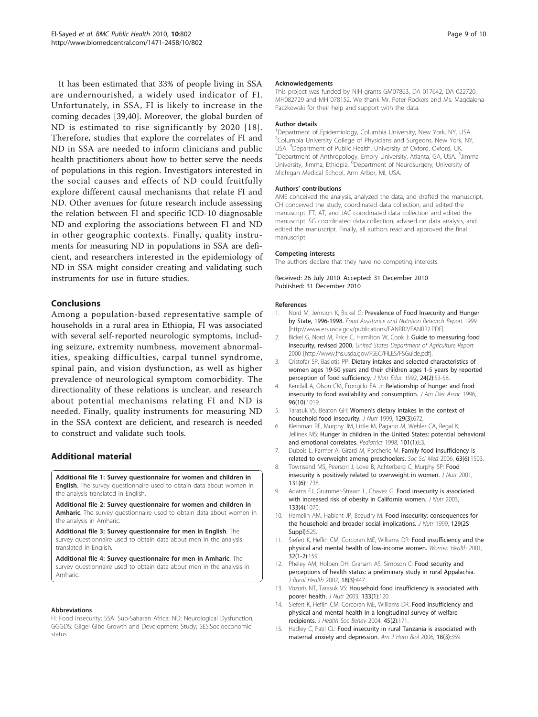<span id="page-8-0"></span>It has been estimated that 33% of people living in SSA are undernourished, a widely used indicator of FI. Unfortunately, in SSA, FI is likely to increase in the coming decades [\[39,40](#page-9-0)]. Moreover, the global burden of ND is estimated to rise significantly by 2020 [[18\]](#page-9-0). Therefore, studies that explore the correlates of FI and ND in SSA are needed to inform clinicians and public health practitioners about how to better serve the needs of populations in this region. Investigators interested in the social causes and effects of ND could fruitfully explore different causal mechanisms that relate FI and ND. Other avenues for future research include assessing the relation between FI and specific ICD-10 diagnosable ND and exploring the associations between FI and ND in other geographic contexts. Finally, quality instruments for measuring ND in populations in SSA are deficient, and researchers interested in the epidemiology of ND in SSA might consider creating and validating such instruments for use in future studies.

## Conclusions

Among a population-based representative sample of households in a rural area in Ethiopia, FI was associated with several self-reported neurologic symptoms, including seizure, extremity numbness, movement abnormalities, speaking difficulties, carpal tunnel syndrome, spinal pain, and vision dysfunction, as well as higher prevalence of neurological symptom comorbidity. The directionality of these relations is unclear, and research about potential mechanisms relating FI and ND is needed. Finally, quality instruments for measuring ND in the SSA context are deficient, and research is needed to construct and validate such tools.

## Additional material

[Additional file 1: S](http://www.biomedcentral.com/content/supplementary/1471-2458-10-802-S1.DOC)urvey questionnaire for women and children in English. The survey questionnaire used to obtain data about women in the analysis translated in English.

[Additional file 2: S](http://www.biomedcentral.com/content/supplementary/1471-2458-10-802-S2.PDF)urvey questionnaire for women and children in Amharic. The survey questionnaire used to obtain data about women in the analysis in Amharic.

[Additional file 3: S](http://www.biomedcentral.com/content/supplementary/1471-2458-10-802-S3.DOC)urvey questionnaire for men in English. The survey questionnaire used to obtain data about men in the analysis translated in English.

[Additional file 4: S](http://www.biomedcentral.com/content/supplementary/1471-2458-10-802-S4.PDF)urvey questionnaire for men in Amharic. The survey questionnaire used to obtain data about men in the analysis in Amharic.

#### Abbreviations

FI: Food insecurity; SSA: Sub-Saharan Africa; ND: Neurological Dysfunction; GGGDS: Gilgel Gibe Growth and Development Study; SES:Socioeconomic status.

#### Acknowledgements

This project was funded by NIH grants GM07863, DA 017642, DA 022720, MH082729 and MH 078152. We thank Mr. Peter Rockers and Ms. Magdalena Paczkowski for their help and support with the data.

#### Author details

<sup>1</sup>Department of Epidemiology, Columbia University, New York, NY, USA. <sup>2</sup>Columbia University College of Physicians and Surgeons, New York, NY, USA. <sup>3</sup> Department of Public Health, University of Oxford, Oxford, UK.<br><sup>4</sup> Department of Anthropelegy, Emery University, Atlanta, GA, USA. <sup>5</sup> Department of Anthropology, Emory University, Atlanta, GA, USA. <sup>5</sup>Jimma University, Jimma, Ethiopia. <sup>6</sup>Department of Neurosurgery, University of Michigan Medical School, Ann Arbor, MI, USA.

#### Authors' contributions

AME conceived the analysis, analyzed the data, and drafted the manuscript. CH conceived the study, coordinated data collection, and edited the manuscript. FT, AT, and JAC coordinated data collection and edited the manuscript. SG coordinated data collection, advised on data analysis, and edited the manuscript. Finally, all authors read and approved the final manuscript

#### Competing interests

The authors declare that they have no competing interests.

Received: 26 July 2010 Accepted: 31 December 2010 Published: 31 December 2010

#### References

- 1. Nord M, Jemsion K, Bickel G: Prevalence of Food Insecurity and Hunger by State, 1996-1998. Food Assistance and Nutrition Research Report 1999 [<http://www.ers.usda.gov/publications/FANRR2/FANRR2.PDF>].
- 2. Bickel G, Nord M, Price C, Hamilton W, Cook J: Guide to measuring food insecurity, revised 2000. United States Department of Agriculture Report 2000 [\[http://www.fns.usda.gov/FSEC/FILES/FSGuide.pdf\]](http://www.fns.usda.gov/FSEC/FILES/FSGuide.pdf).
- 3. Cristofar SP, Basiotis PP: Dietary intakes and selected characteristics of women ages 19-50 years and their children ages 1-5 years by reported perception of food sufficiency. J Nutr Educ 1992, 24(2):53-58.
- 4. Kendall A, Olson CM, Frongillo EA Jr: Relationship of hunger and food insecurity to food availability and consumption. J Am Diet Assoc 1996, 96(10):1019.
- 5. Tarasuk VS, Beaton GH: Women's dietary intakes in the context of household food insecurity. J Nutr 1999, 129(3):672.
- 6. Kleinman RE, Murphy JM, Little M, Pagano M, Wehler CA, Regal K, Jellinek MS: Hunger in children in the United States: potential behavioral and emotional correlates. Pediatrics 1998, 101(1):E3.
- 7. Dubois L, Farmer A, Girard M, Porcherie M: Family food insufficiency is related to overweight among preschoolers. Soc Sci Med 2006, 63(6):1503.
- 8. Townsend MS, Peerson J, Love B, Achterberg C, Murphy SP: Food insecurity is positively related to overweight in women. J Nutr 2001, 131(6):1738.
- 9. Adams EJ, Grummer-Strawn L, Chavez G: Food insecurity is associated with increased risk of obesity in California women. J Nutr 2003, 133(4):1070.
- 10. Hamelin AM, Habicht JP, Beaudry M: Food insecurity: consequences for the household and broader social implications. J Nutr 1999, 129(2S Suppl):525
- 11. Siefert K, Heflin CM, Corcoran ME, Williams DR: Food insufficiency and the physical and mental health of low-income women. Women Health 2001, 32(1-2):159.
- 12. Pheley AM, Holben DH, Graham AS, Simpson C: Food security and perceptions of health status: a preliminary study in rural Appalachia. J Rural Health 2002, 18(3):447.
- 13. Vozoris NT, Tarasuk VS: Household food insufficiency is associated with poorer health. J Nutr 2003, 133(1):120.
- 14. Siefert K, Heflin CM, Corcoran ME, Williams DR: Food insufficiency and physical and mental health in a longitudinal survey of welfare recipients. J Health Soc Behav 2004, 45(2):171.
- 15. Hadley C, Patil CL: Food insecurity in rural Tanzania is associated with maternal anxiety and depression. Am J Hum Biol 2006, 18(3):359.